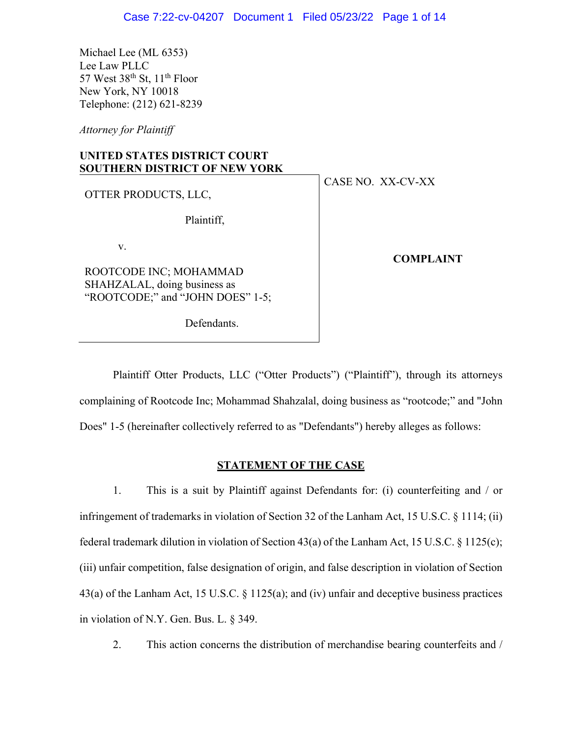Michael Lee (ML 6353) Lee Law PLLC 57 West  $38<sup>th</sup>$  St,  $11<sup>th</sup>$  Floor New York, NY 10018 Telephone: (212) 621-8239

*Attorney for Plaintiff*

# **UNITED STATES DISTRICT COURT SOUTHERN DISTRICT OF NEW YORK**

OTTER PRODUCTS, LLC,

Plaintiff,

v.

ROOTCODE INC; MOHAMMAD SHAHZALAL, doing business as "ROOTCODE;" and "JOHN DOES" 1-5;

Defendants.

CASE NO. XX-CV-XX

**COMPLAINT**

Plaintiff Otter Products, LLC ("Otter Products") ("Plaintiff"), through its attorneys complaining of Rootcode Inc; Mohammad Shahzalal, doing business as "rootcode;" and "John Does" 1-5 (hereinafter collectively referred to as "Defendants") hereby alleges as follows:

## **STATEMENT OF THE CASE**

1. This is a suit by Plaintiff against Defendants for: (i) counterfeiting and / or infringement of trademarks in violation of Section 32 of the Lanham Act, 15 U.S.C. § 1114; (ii) federal trademark dilution in violation of Section 43(a) of the Lanham Act, 15 U.S.C. § 1125(c); (iii) unfair competition, false designation of origin, and false description in violation of Section 43(a) of the Lanham Act, 15 U.S.C. § 1125(a); and (iv) unfair and deceptive business practices in violation of N.Y. Gen. Bus. L. § 349.

2. This action concerns the distribution of merchandise bearing counterfeits and /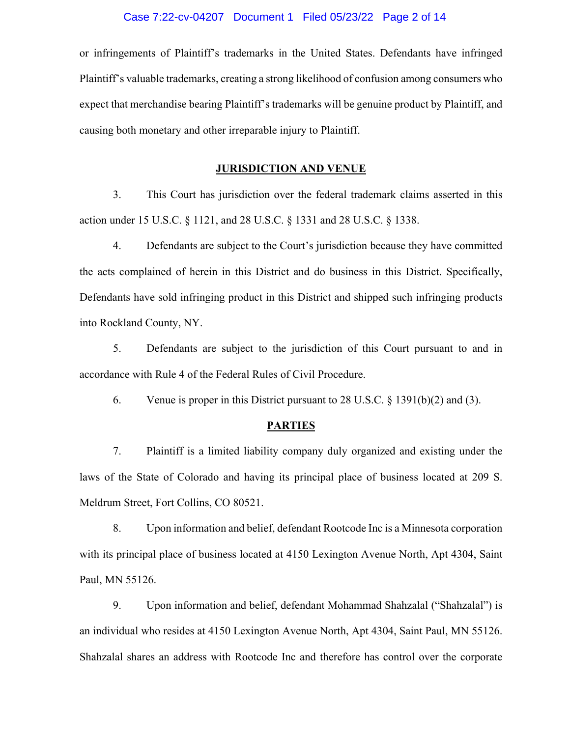#### Case 7:22-cv-04207 Document 1 Filed 05/23/22 Page 2 of 14

or infringements of Plaintiff's trademarks in the United States. Defendants have infringed Plaintiff's valuable trademarks, creating a strong likelihood of confusion among consumers who expect that merchandise bearing Plaintiff's trademarks will be genuine product by Plaintiff, and causing both monetary and other irreparable injury to Plaintiff.

#### **JURISDICTION AND VENUE**

3. This Court has jurisdiction over the federal trademark claims asserted in this action under 15 U.S.C. § 1121, and 28 U.S.C. § 1331 and 28 U.S.C. § 1338.

4. Defendants are subject to the Court's jurisdiction because they have committed the acts complained of herein in this District and do business in this District. Specifically, Defendants have sold infringing product in this District and shipped such infringing products into Rockland County, NY.

5. Defendants are subject to the jurisdiction of this Court pursuant to and in accordance with Rule 4 of the Federal Rules of Civil Procedure.

6. Venue is proper in this District pursuant to 28 U.S.C. § 1391(b)(2) and (3).

#### **PARTIES**

7. Plaintiff is a limited liability company duly organized and existing under the laws of the State of Colorado and having its principal place of business located at 209 S. Meldrum Street, Fort Collins, CO 80521.

8. Upon information and belief, defendant Rootcode Inc is a Minnesota corporation with its principal place of business located at 4150 Lexington Avenue North, Apt 4304, Saint Paul, MN 55126.

9. Upon information and belief, defendant Mohammad Shahzalal ("Shahzalal") is an individual who resides at 4150 Lexington Avenue North, Apt 4304, Saint Paul, MN 55126. Shahzalal shares an address with Rootcode Inc and therefore has control over the corporate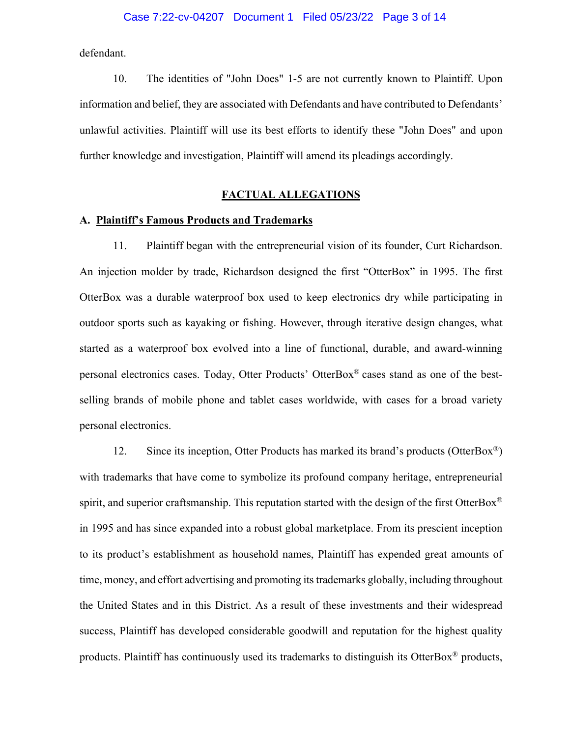defendant.

10. The identities of "John Does" 1-5 are not currently known to Plaintiff. Upon information and belief, they are associated with Defendants and have contributed to Defendants' unlawful activities. Plaintiff will use its best efforts to identify these "John Does" and upon further knowledge and investigation, Plaintiff will amend its pleadings accordingly.

## **FACTUAL ALLEGATIONS**

#### **A. Plaintiff's Famous Products and Trademarks**

11. Plaintiff began with the entrepreneurial vision of its founder, Curt Richardson. An injection molder by trade, Richardson designed the first "OtterBox" in 1995. The first OtterBox was a durable waterproof box used to keep electronics dry while participating in outdoor sports such as kayaking or fishing. However, through iterative design changes, what started as a waterproof box evolved into a line of functional, durable, and award-winning personal electronics cases. Today, Otter Products' OtterBox® cases stand as one of the bestselling brands of mobile phone and tablet cases worldwide, with cases for a broad variety personal electronics.

12. Since its inception, Otter Products has marked its brand's products (OtterBox<sup>®</sup>) with trademarks that have come to symbolize its profound company heritage, entrepreneurial spirit, and superior craftsmanship. This reputation started with the design of the first OtterBox<sup>®</sup> in 1995 and has since expanded into a robust global marketplace. From its prescient inception to its product's establishment as household names, Plaintiff has expended great amounts of time, money, and effort advertising and promoting its trademarks globally, including throughout the United States and in this District. As a result of these investments and their widespread success, Plaintiff has developed considerable goodwill and reputation for the highest quality products. Plaintiff has continuously used its trademarks to distinguish its OtterBox® products,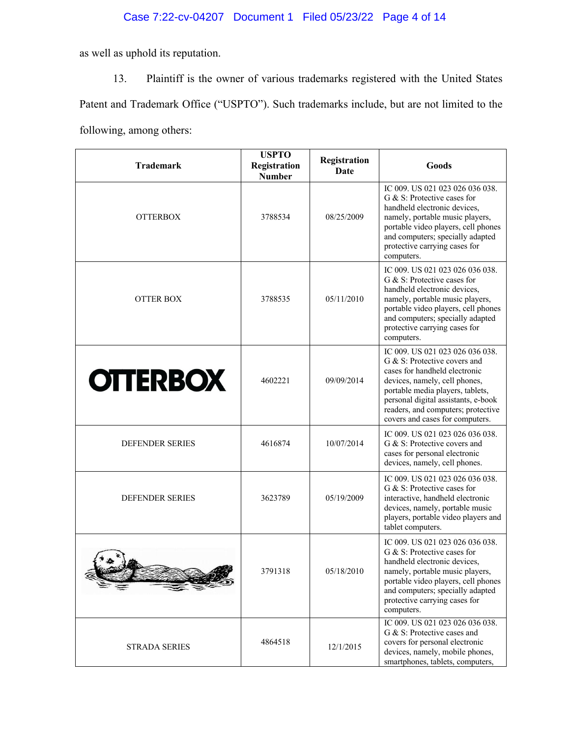# Case 7:22-cv-04207 Document 1 Filed 05/23/22 Page 4 of 14

as well as uphold its reputation.

13. Plaintiff is the owner of various trademarks registered with the United States Patent and Trademark Office ("USPTO"). Such trademarks include, but are not limited to the following, among others:

| <b>Trademark</b>       | <b>USPTO</b><br>Registration<br><b>Number</b> | Registration<br>Date | Goods                                                                                                                                                                                                                                                                                 |
|------------------------|-----------------------------------------------|----------------------|---------------------------------------------------------------------------------------------------------------------------------------------------------------------------------------------------------------------------------------------------------------------------------------|
| <b>OTTERBOX</b>        | 3788534                                       | 08/25/2009           | IC 009. US 021 023 026 036 038.<br>G & S: Protective cases for<br>handheld electronic devices,<br>namely, portable music players,<br>portable video players, cell phones<br>and computers; specially adapted<br>protective carrying cases for<br>computers.                           |
| <b>OTTER BOX</b>       | 3788535                                       | 05/11/2010           | IC 009. US 021 023 026 036 038.<br>G & S: Protective cases for<br>handheld electronic devices,<br>namely, portable music players,<br>portable video players, cell phones<br>and computers; specially adapted<br>protective carrying cases for<br>computers.                           |
| <b>OTTERBOX</b>        | 4602221                                       | 09/09/2014           | IC 009. US 021 023 026 036 038.<br>G & S: Protective covers and<br>cases for handheld electronic<br>devices, namely, cell phones,<br>portable media players, tablets,<br>personal digital assistants, e-book<br>readers, and computers; protective<br>covers and cases for computers. |
| <b>DEFENDER SERIES</b> | 4616874                                       | 10/07/2014           | IC 009. US 021 023 026 036 038.<br>G & S: Protective covers and<br>cases for personal electronic<br>devices, namely, cell phones.                                                                                                                                                     |
| <b>DEFENDER SERIES</b> | 3623789                                       | 05/19/2009           | IC 009. US 021 023 026 036 038.<br>G & S: Protective cases for<br>interactive, handheld electronic<br>devices, namely, portable music<br>players, portable video players and<br>tablet computers.                                                                                     |
|                        | 3791318                                       | 05/18/2010           | IC 009. US 021 023 026 036 038.<br>G & S: Protective cases for<br>handheld electronic devices,<br>namely, portable music players,<br>portable video players, cell phones<br>and computers; specially adapted<br>protective carrying cases for<br>computers.                           |
| <b>STRADA SERIES</b>   | 4864518                                       | 12/1/2015            | IC 009. US 021 023 026 036 038.<br>G & S: Protective cases and<br>covers for personal electronic<br>devices, namely, mobile phones,<br>smartphones, tablets, computers,                                                                                                               |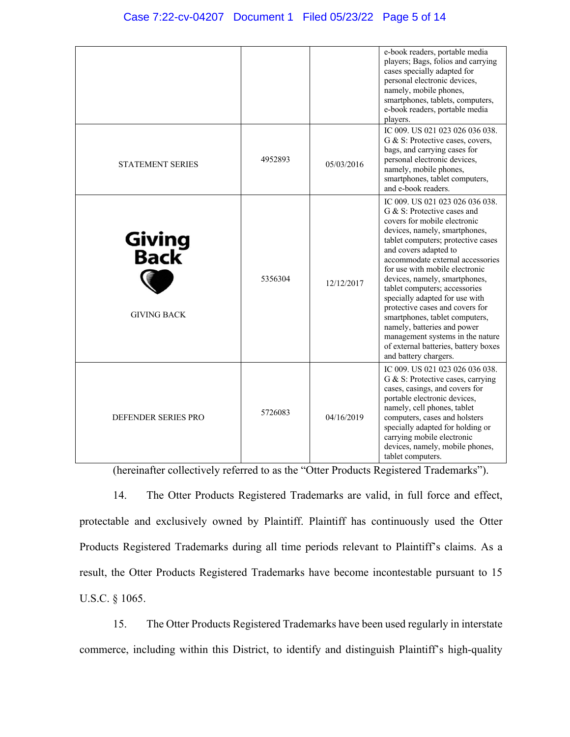|                                              |         |            | e-book readers, portable media<br>players; Bags, folios and carrying<br>cases specially adapted for<br>personal electronic devices,<br>namely, mobile phones,<br>smartphones, tablets, computers,<br>e-book readers, portable media<br>players.                                                                                                                                                                                                                                                                                                                                   |
|----------------------------------------------|---------|------------|-----------------------------------------------------------------------------------------------------------------------------------------------------------------------------------------------------------------------------------------------------------------------------------------------------------------------------------------------------------------------------------------------------------------------------------------------------------------------------------------------------------------------------------------------------------------------------------|
| <b>STATEMENT SERIES</b>                      | 4952893 | 05/03/2016 | IC 009. US 021 023 026 036 038.<br>G & S: Protective cases, covers,<br>bags, and carrying cases for<br>personal electronic devices,<br>namely, mobile phones,<br>smartphones, tablet computers,<br>and e-book readers.                                                                                                                                                                                                                                                                                                                                                            |
| <b>Giving<br/>Back</b><br><b>GIVING BACK</b> | 5356304 | 12/12/2017 | IC 009. US 021 023 026 036 038.<br>G & S: Protective cases and<br>covers for mobile electronic<br>devices, namely, smartphones,<br>tablet computers; protective cases<br>and covers adapted to<br>accommodate external accessories<br>for use with mobile electronic<br>devices, namely, smartphones,<br>tablet computers; accessories<br>specially adapted for use with<br>protective cases and covers for<br>smartphones, tablet computers,<br>namely, batteries and power<br>management systems in the nature<br>of external batteries, battery boxes<br>and battery chargers. |
| DEFENDER SERIES PRO                          | 5726083 | 04/16/2019 | IC 009, US 021 023 026 036 038.<br>G & S: Protective cases, carrying<br>cases, casings, and covers for<br>portable electronic devices,<br>namely, cell phones, tablet<br>computers, cases and holsters<br>specially adapted for holding or<br>carrying mobile electronic<br>devices, namely, mobile phones,<br>tablet computers.                                                                                                                                                                                                                                                  |

(hereinafter collectively referred to as the "Otter Products Registered Trademarks").

14. The Otter Products Registered Trademarks are valid, in full force and effect, protectable and exclusively owned by Plaintiff. Plaintiff has continuously used the Otter Products Registered Trademarks during all time periods relevant to Plaintiff's claims. As a result, the Otter Products Registered Trademarks have become incontestable pursuant to 15 U.S.C. § 1065.

15. The Otter Products Registered Trademarks have been used regularly in interstate commerce, including within this District, to identify and distinguish Plaintiff's high-quality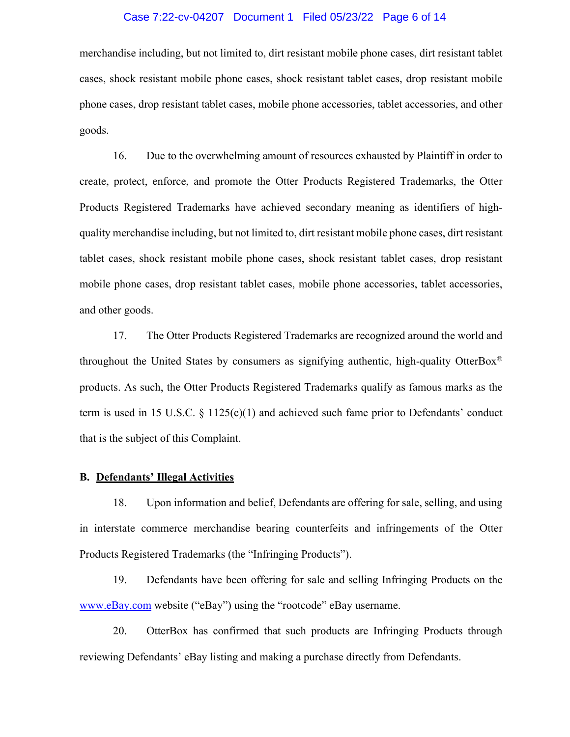#### Case 7:22-cv-04207 Document 1 Filed 05/23/22 Page 6 of 14

merchandise including, but not limited to, dirt resistant mobile phone cases, dirt resistant tablet cases, shock resistant mobile phone cases, shock resistant tablet cases, drop resistant mobile phone cases, drop resistant tablet cases, mobile phone accessories, tablet accessories, and other goods.

16. Due to the overwhelming amount of resources exhausted by Plaintiff in order to create, protect, enforce, and promote the Otter Products Registered Trademarks, the Otter Products Registered Trademarks have achieved secondary meaning as identifiers of highquality merchandise including, but not limited to, dirt resistant mobile phone cases, dirt resistant tablet cases, shock resistant mobile phone cases, shock resistant tablet cases, drop resistant mobile phone cases, drop resistant tablet cases, mobile phone accessories, tablet accessories, and other goods.

17. The Otter Products Registered Trademarks are recognized around the world and throughout the United States by consumers as signifying authentic, high-quality OtterBox<sup>®</sup> products. As such, the Otter Products Registered Trademarks qualify as famous marks as the term is used in 15 U.S.C.  $\S$  1125(c)(1) and achieved such fame prior to Defendants' conduct that is the subject of this Complaint.

## **B. Defendants' Illegal Activities**

18. Upon information and belief, Defendants are offering for sale, selling, and using in interstate commerce merchandise bearing counterfeits and infringements of the Otter Products Registered Trademarks (the "Infringing Products").

19. Defendants have been offering for sale and selling Infringing Products on the www.eBay.com website ("eBay") using the "rootcode" eBay username.

20. OtterBox has confirmed that such products are Infringing Products through reviewing Defendants' eBay listing and making a purchase directly from Defendants.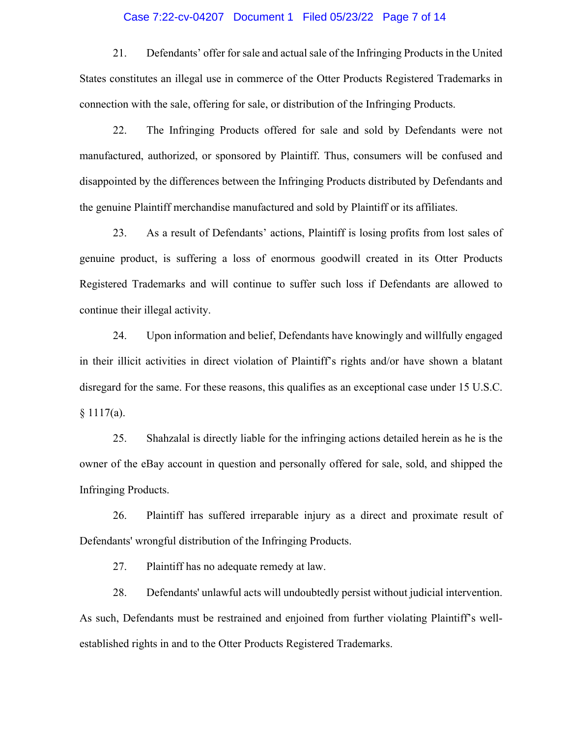#### Case 7:22-cv-04207 Document 1 Filed 05/23/22 Page 7 of 14

21. Defendants' offer for sale and actual sale of the Infringing Products in the United States constitutes an illegal use in commerce of the Otter Products Registered Trademarks in connection with the sale, offering for sale, or distribution of the Infringing Products.

22. The Infringing Products offered for sale and sold by Defendants were not manufactured, authorized, or sponsored by Plaintiff. Thus, consumers will be confused and disappointed by the differences between the Infringing Products distributed by Defendants and the genuine Plaintiff merchandise manufactured and sold by Plaintiff or its affiliates.

23. As a result of Defendants' actions, Plaintiff is losing profits from lost sales of genuine product, is suffering a loss of enormous goodwill created in its Otter Products Registered Trademarks and will continue to suffer such loss if Defendants are allowed to continue their illegal activity.

24. Upon information and belief, Defendants have knowingly and willfully engaged in their illicit activities in direct violation of Plaintiff's rights and/or have shown a blatant disregard for the same. For these reasons, this qualifies as an exceptional case under 15 U.S.C.  $§ 1117(a).$ 

25. Shahzalal is directly liable for the infringing actions detailed herein as he is the owner of the eBay account in question and personally offered for sale, sold, and shipped the Infringing Products.

26. Plaintiff has suffered irreparable injury as a direct and proximate result of Defendants' wrongful distribution of the Infringing Products.

27. Plaintiff has no adequate remedy at law.

28. Defendants' unlawful acts will undoubtedly persist without judicial intervention. As such, Defendants must be restrained and enjoined from further violating Plaintiff's wellestablished rights in and to the Otter Products Registered Trademarks.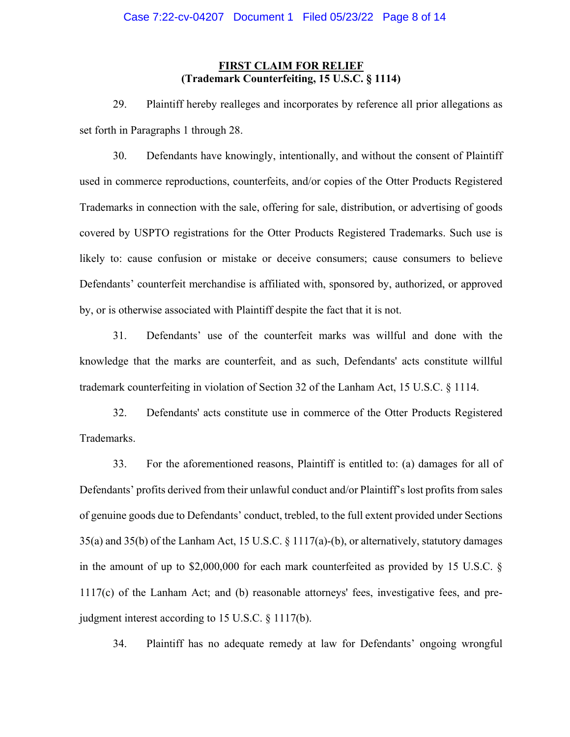## **FIRST CLAIM FOR RELIEF (Trademark Counterfeiting, 15 U.S.C. § 1114)**

29. Plaintiff hereby realleges and incorporates by reference all prior allegations as set forth in Paragraphs 1 through 28.

30. Defendants have knowingly, intentionally, and without the consent of Plaintiff used in commerce reproductions, counterfeits, and/or copies of the Otter Products Registered Trademarks in connection with the sale, offering for sale, distribution, or advertising of goods covered by USPTO registrations for the Otter Products Registered Trademarks. Such use is likely to: cause confusion or mistake or deceive consumers; cause consumers to believe Defendants' counterfeit merchandise is affiliated with, sponsored by, authorized, or approved by, or is otherwise associated with Plaintiff despite the fact that it is not.

31. Defendants' use of the counterfeit marks was willful and done with the knowledge that the marks are counterfeit, and as such, Defendants' acts constitute willful trademark counterfeiting in violation of Section 32 of the Lanham Act, 15 U.S.C. § 1114.

32. Defendants' acts constitute use in commerce of the Otter Products Registered Trademarks.

33. For the aforementioned reasons, Plaintiff is entitled to: (a) damages for all of Defendants' profits derived from their unlawful conduct and/or Plaintiff's lost profits from sales of genuine goods due to Defendants' conduct, trebled, to the full extent provided under Sections 35(a) and 35(b) of the Lanham Act, 15 U.S.C. § 1117(a)-(b), or alternatively, statutory damages in the amount of up to \$2,000,000 for each mark counterfeited as provided by 15 U.S.C. § 1117(c) of the Lanham Act; and (b) reasonable attorneys' fees, investigative fees, and prejudgment interest according to 15 U.S.C. § 1117(b).

34. Plaintiff has no adequate remedy at law for Defendants' ongoing wrongful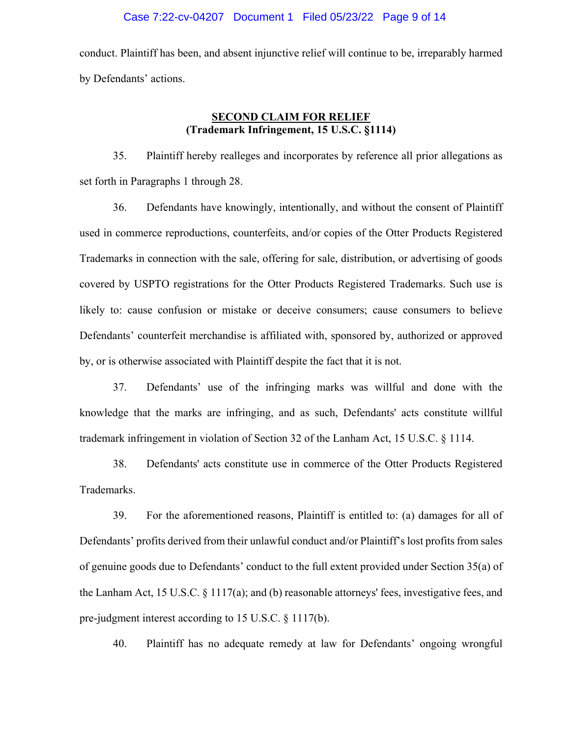conduct. Plaintiff has been, and absent injunctive relief will continue to be, irreparably harmed by Defendants' actions.

## **SECOND CLAIM FOR RELIEF (Trademark Infringement, 15 U.S.C. §1114)**

35. Plaintiff hereby realleges and incorporates by reference all prior allegations as set forth in Paragraphs 1 through 28.

36. Defendants have knowingly, intentionally, and without the consent of Plaintiff used in commerce reproductions, counterfeits, and/or copies of the Otter Products Registered Trademarks in connection with the sale, offering for sale, distribution, or advertising of goods covered by USPTO registrations for the Otter Products Registered Trademarks. Such use is likely to: cause confusion or mistake or deceive consumers; cause consumers to believe Defendants' counterfeit merchandise is affiliated with, sponsored by, authorized or approved by, or is otherwise associated with Plaintiff despite the fact that it is not.

37. Defendants' use of the infringing marks was willful and done with the knowledge that the marks are infringing, and as such, Defendants' acts constitute willful trademark infringement in violation of Section 32 of the Lanham Act, 15 U.S.C. § 1114.

38. Defendants' acts constitute use in commerce of the Otter Products Registered Trademarks.

39. For the aforementioned reasons, Plaintiff is entitled to: (a) damages for all of Defendants' profits derived from their unlawful conduct and/or Plaintiff's lost profits from sales of genuine goods due to Defendants' conduct to the full extent provided under Section 35(a) of the Lanham Act, 15 U.S.C. § 1117(a); and (b) reasonable attorneys' fees, investigative fees, and pre-judgment interest according to 15 U.S.C. § 1117(b).

40. Plaintiff has no adequate remedy at law for Defendants' ongoing wrongful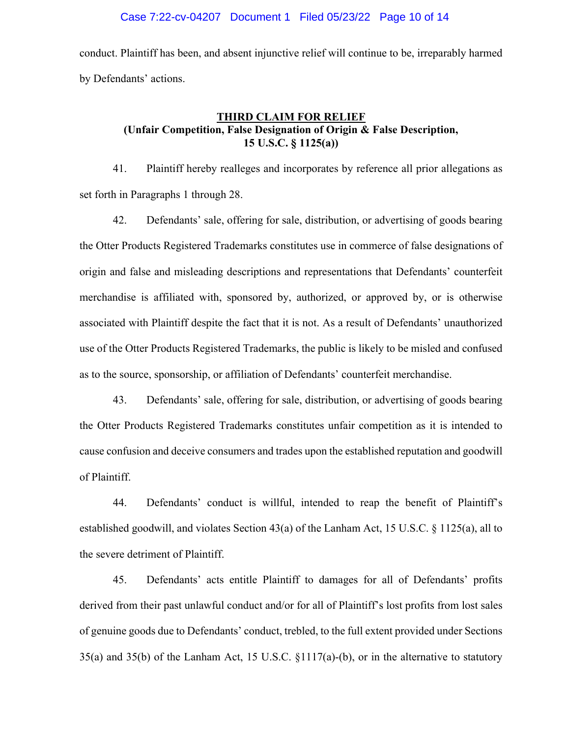conduct. Plaintiff has been, and absent injunctive relief will continue to be, irreparably harmed by Defendants' actions.

# **THIRD CLAIM FOR RELIEF (Unfair Competition, False Designation of Origin & False Description, 15 U.S.C. § 1125(a))**

41. Plaintiff hereby realleges and incorporates by reference all prior allegations as set forth in Paragraphs 1 through 28.

42. Defendants' sale, offering for sale, distribution, or advertising of goods bearing the Otter Products Registered Trademarks constitutes use in commerce of false designations of origin and false and misleading descriptions and representations that Defendants' counterfeit merchandise is affiliated with, sponsored by, authorized, or approved by, or is otherwise associated with Plaintiff despite the fact that it is not. As a result of Defendants' unauthorized use of the Otter Products Registered Trademarks, the public is likely to be misled and confused as to the source, sponsorship, or affiliation of Defendants' counterfeit merchandise.

43. Defendants' sale, offering for sale, distribution, or advertising of goods bearing the Otter Products Registered Trademarks constitutes unfair competition as it is intended to cause confusion and deceive consumers and trades upon the established reputation and goodwill of Plaintiff.

44. Defendants' conduct is willful, intended to reap the benefit of Plaintiff's established goodwill, and violates Section 43(a) of the Lanham Act, 15 U.S.C. § 1125(a), all to the severe detriment of Plaintiff.

45. Defendants' acts entitle Plaintiff to damages for all of Defendants' profits derived from their past unlawful conduct and/or for all of Plaintiff's lost profits from lost sales of genuine goods due to Defendants' conduct, trebled, to the full extent provided under Sections 35(a) and 35(b) of the Lanham Act, 15 U.S.C. §1117(a)-(b), or in the alternative to statutory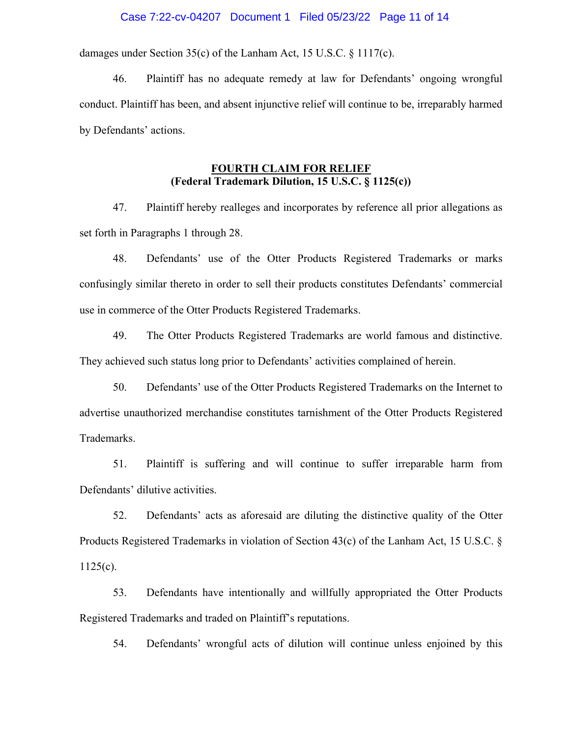#### Case 7:22-cv-04207 Document 1 Filed 05/23/22 Page 11 of 14

damages under Section 35(c) of the Lanham Act, 15 U.S.C. § 1117(c).

46. Plaintiff has no adequate remedy at law for Defendants' ongoing wrongful conduct. Plaintiff has been, and absent injunctive relief will continue to be, irreparably harmed by Defendants' actions.

# **FOURTH CLAIM FOR RELIEF (Federal Trademark Dilution, 15 U.S.C. § 1125(c))**

47. Plaintiff hereby realleges and incorporates by reference all prior allegations as set forth in Paragraphs 1 through 28.

48. Defendants' use of the Otter Products Registered Trademarks or marks confusingly similar thereto in order to sell their products constitutes Defendants' commercial use in commerce of the Otter Products Registered Trademarks.

49. The Otter Products Registered Trademarks are world famous and distinctive. They achieved such status long prior to Defendants' activities complained of herein.

50. Defendants' use of the Otter Products Registered Trademarks on the Internet to advertise unauthorized merchandise constitutes tarnishment of the Otter Products Registered Trademarks.

51. Plaintiff is suffering and will continue to suffer irreparable harm from Defendants' dilutive activities.

52. Defendants' acts as aforesaid are diluting the distinctive quality of the Otter Products Registered Trademarks in violation of Section 43(c) of the Lanham Act, 15 U.S.C. §  $1125(c)$ .

53. Defendants have intentionally and willfully appropriated the Otter Products Registered Trademarks and traded on Plaintiff's reputations.

54. Defendants' wrongful acts of dilution will continue unless enjoined by this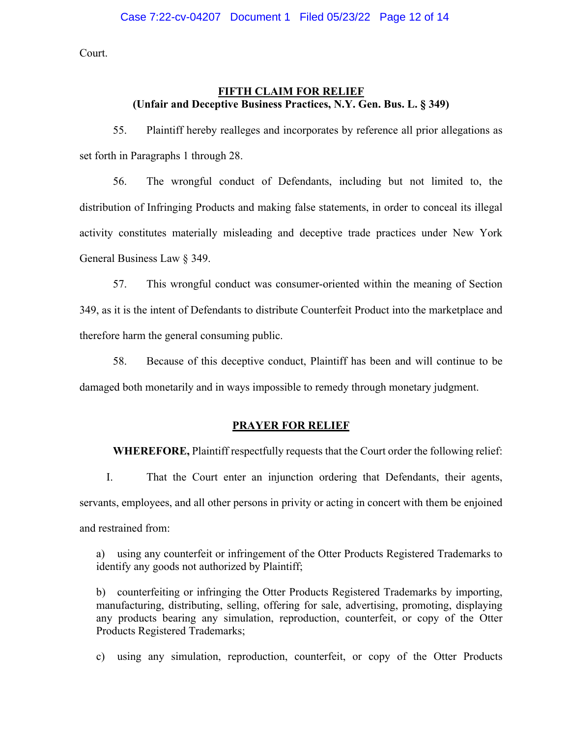Court.

## **FIFTH CLAIM FOR RELIEF (Unfair and Deceptive Business Practices, N.Y. Gen. Bus. L. § 349)**

55. Plaintiff hereby realleges and incorporates by reference all prior allegations as set forth in Paragraphs 1 through 28.

56. The wrongful conduct of Defendants, including but not limited to, the distribution of Infringing Products and making false statements, in order to conceal its illegal activity constitutes materially misleading and deceptive trade practices under New York General Business Law § 349.

57. This wrongful conduct was consumer-oriented within the meaning of Section 349, as it is the intent of Defendants to distribute Counterfeit Product into the marketplace and therefore harm the general consuming public.

58. Because of this deceptive conduct, Plaintiff has been and will continue to be damaged both monetarily and in ways impossible to remedy through monetary judgment.

#### **PRAYER FOR RELIEF**

**WHEREFORE,** Plaintiff respectfully requests that the Court order the following relief:

I. That the Court enter an injunction ordering that Defendants, their agents, servants, employees, and all other persons in privity or acting in concert with them be enjoined and restrained from:

a) using any counterfeit or infringement of the Otter Products Registered Trademarks to identify any goods not authorized by Plaintiff;

b) counterfeiting or infringing the Otter Products Registered Trademarks by importing, manufacturing, distributing, selling, offering for sale, advertising, promoting, displaying any products bearing any simulation, reproduction, counterfeit, or copy of the Otter Products Registered Trademarks;

c) using any simulation, reproduction, counterfeit, or copy of the Otter Products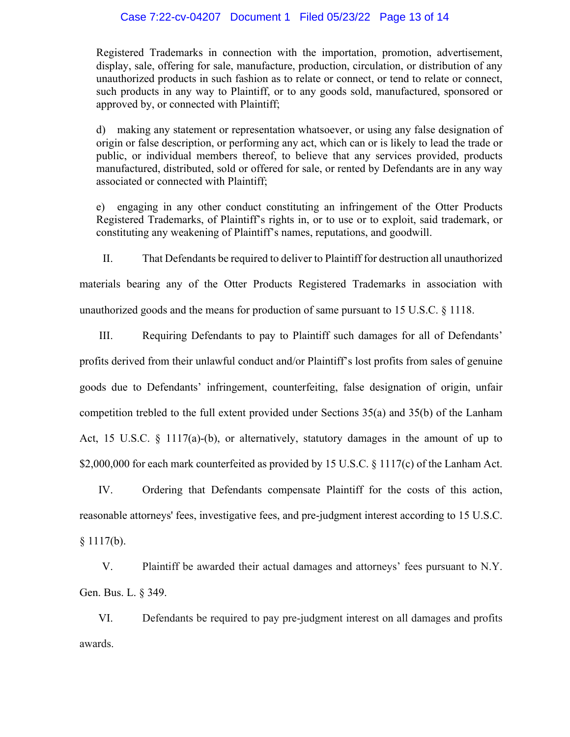#### Case 7:22-cv-04207 Document 1 Filed 05/23/22 Page 13 of 14

Registered Trademarks in connection with the importation, promotion, advertisement, display, sale, offering for sale, manufacture, production, circulation, or distribution of any unauthorized products in such fashion as to relate or connect, or tend to relate or connect, such products in any way to Plaintiff, or to any goods sold, manufactured, sponsored or approved by, or connected with Plaintiff;

d) making any statement or representation whatsoever, or using any false designation of origin or false description, or performing any act, which can or is likely to lead the trade or public, or individual members thereof, to believe that any services provided, products manufactured, distributed, sold or offered for sale, or rented by Defendants are in any way associated or connected with Plaintiff;

e) engaging in any other conduct constituting an infringement of the Otter Products Registered Trademarks, of Plaintiff's rights in, or to use or to exploit, said trademark, or constituting any weakening of Plaintiff's names, reputations, and goodwill.

II. That Defendants be required to deliver to Plaintiff for destruction all unauthorized materials bearing any of the Otter Products Registered Trademarks in association with unauthorized goods and the means for production of same pursuant to 15 U.S.C. § 1118.

III. Requiring Defendants to pay to Plaintiff such damages for all of Defendants' profits derived from their unlawful conduct and/or Plaintiff's lost profits from sales of genuine goods due to Defendants' infringement, counterfeiting, false designation of origin, unfair competition trebled to the full extent provided under Sections 35(a) and 35(b) of the Lanham Act, 15 U.S.C. § 1117(a)-(b), or alternatively, statutory damages in the amount of up to \$2,000,000 for each mark counterfeited as provided by 15 U.S.C. § 1117(c) of the Lanham Act.

IV. Ordering that Defendants compensate Plaintiff for the costs of this action, reasonable attorneys' fees, investigative fees, and pre-judgment interest according to 15 U.S.C.  $§ 1117(b).$ 

V. Plaintiff be awarded their actual damages and attorneys' fees pursuant to N.Y. Gen. Bus. L. § 349.

VI. Defendants be required to pay pre-judgment interest on all damages and profits awards.